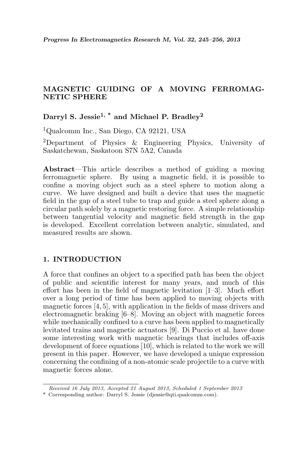# MAGNETIC GUIDING OF A MOVING FERROMAG-NETIC SPHERE

Darryl S. Jessie<sup>1,  $*$ </sup> and Michael P. Bradley<sup>2</sup>

<sup>1</sup>Qualcomm Inc., San Diego, CA 92121, USA

<sup>2</sup>Department of Physics & Engineering Physics, University of Saskatchewan, Saskatoon S7N 5A2, Canada

Abstract—This article describes a method of guiding a moving ferromagnetic sphere. By using a magnetic field, it is possible to confine a moving object such as a steel sphere to motion along a curve. We have designed and built a device that uses the magnetic field in the gap of a steel tube to trap and guide a steel sphere along a circular path solely by a magnetic restoring force. A simple relationship between tangential velocity and magnetic field strength in the gap is developed. Excellent correlation between analytic, simulated, and measured results are shown.

## 1. INTRODUCTION

A force that confines an object to a specified path has been the object of public and scientific interest for many years, and much of this effort has been in the field of magnetic levitation [1–3]. Much effort over a long period of time has been applied to moving objects with magnetic forces [4, 5], with application in the fields of mass drivers and electromagnetic braking [6–8]. Moving an object with magnetic forces while mechanically confined to a curve has been applied to magnetically levitated trains and magnetic actuators [9]. Di Puccio et al. have done some interesting work with magnetic bearings that includes off-axis development of force equations [10], which is related to the work we will present in this paper. However, we have developed a unique expression concerning the confining of a non-atomic scale projectile to a curve with magnetic forces alone.

Received 16 July 2013, Accepted 21 August 2013, Scheduled 1 September 2013

<sup>\*</sup> Corresponding author: Darryl S. Jessie (djessie@qti.qualcomm.com).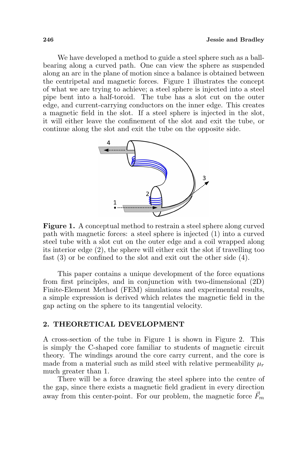We have developed a method to guide a steel sphere such as a ballbearing along a curved path. One can view the sphere as suspended along an arc in the plane of motion since a balance is obtained between the centripetal and magnetic forces. Figure 1 illustrates the concept of what we are trying to achieve; a steel sphere is injected into a steel pipe bent into a half-toroid. The tube has a slot cut on the outer edge, and current-carrying conductors on the inner edge. This creates a magnetic field in the slot. If a steel sphere is injected in the slot, it will either leave the confinement of the slot and exit the tube, or continue along the slot and exit the tube on the opposite side.



Figure 1. A conceptual method to restrain a steel sphere along curved path with magnetic forces: a steel sphere is injected (1) into a curved steel tube with a slot cut on the outer edge and a coil wrapped along its interior edge (2), the sphere will either exit the slot if travelling too fast (3) or be confined to the slot and exit out the other side (4).

This paper contains a unique development of the force equations from first principles, and in conjunction with two-dimensional (2D) Finite-Element Method (FEM) simulations and experimental results, a simple expression is derived which relates the magnetic field in the gap acting on the sphere to its tangential velocity.

### 2. THEORETICAL DEVELOPMENT

A cross-section of the tube in Figure 1 is shown in Figure 2. This is simply the C-shaped core familiar to students of magnetic circuit theory. The windings around the core carry current, and the core is made from a material such as mild steel with relative permeability  $\mu_r$ much greater than 1.

There will be a force drawing the steel sphere into the centre of the gap, since there exists a magnetic field gradient in every direction away from this center-point. For our problem, the magnetic force  $F_m$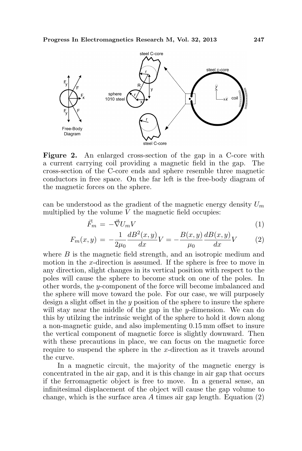

Figure 2. An enlarged cross-section of the gap in a C-core with a current carrying coil providing a magnetic field in the gap. The cross-section of the C-core ends and sphere resemble three magnetic conductors in free space. On the far left is the free-body diagram of the magnetic forces on the sphere.

can be understood as the gradient of the magnetic energy density  $U_m$ multiplied by the volume  $V$  the magnetic field occupies:

$$
\vec{F}_m = -\vec{\nabla} U_m V \tag{1}
$$

$$
F_m(x,y) = -\frac{1}{2\mu_0} \frac{dB^2(x,y)}{dx} V = -\frac{B(x,y)}{\mu_0} \frac{dB(x,y)}{dx} V \tag{2}
$$

where  $B$  is the magnetic field strength, and an isotropic medium and motion in the x-direction is assumed. If the sphere is free to move in any direction, slight changes in its vertical position with respect to the poles will cause the sphere to become stuck on one of the poles. In other words, the y-component of the force will become imbalanced and the sphere will move toward the pole. For our case, we will purposely design a slight offset in the  $y$  position of the sphere to insure the sphere will stay near the middle of the gap in the y-dimension. We can do this by utilzing the intrinsic weight of the sphere to hold it down along a non-magnetic guide, and also implementing 0.15 mm offset to insure the vertical component of magnetic force is slightly downward. Then with these precautions in place, we can focus on the magnetic force require to suspend the sphere in the x-direction as it travels around the curve.

In a magnetic circuit, the majority of the magnetic energy is concentrated in the air gap, and it is this change in air gap that occurs if the ferromagnetic object is free to move. In a general sense, an infinitesimal displacement of the object will cause the gap volume to change, which is the surface area  $A$  times air gap length. Equation  $(2)$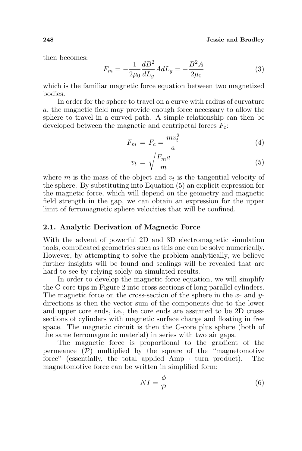then becomes:

$$
F_m = -\frac{1}{2\mu_0} \frac{dB^2}{dL_g} A dL_g = -\frac{B^2 A}{2\mu_0}
$$
 (3)

which is the familiar magnetic force equation between two magnetized bodies.

In order for the sphere to travel on a curve with radius of curvature a, the magnetic field may provide enough force necessary to allow the sphere to travel in a curved path. A simple relationship can then be developed between the magnetic and centripetal forces  $F_c$ :

$$
F_m = F_c = \frac{mv_t^2}{a} \tag{4}
$$

$$
v_t = \sqrt{\frac{F_m a}{m}}\tag{5}
$$

where  $m$  is the mass of the object and  $v_t$  is the tangential velocity of the sphere. By substituting into Equation (5) an explicit expression for the magnetic force, which will depend on the geometry and magnetic field strength in the gap, we can obtain an expression for the upper limit of ferromagnetic sphere velocities that will be confined.

#### 2.1. Analytic Derivation of Magnetic Force

With the advent of powerful 2D and 3D electromagnetic simulation tools, complicated geometries such as this one can be solve numerically. However, by attempting to solve the problem analytically, we believe further insights will be found and scalings will be revealed that are hard to see by relying solely on simulated results.

In order to develop the magnetic force equation, we will simplify the C-core tips in Figure 2 into cross-sections of long parallel cylinders. The magnetic force on the cross-section of the sphere in the  $x$ - and  $y$ directions is then the vector sum of the components due to the lower and upper core ends, i.e., the core ends are assumed to be 2D crosssections of cylinders with magnetic surface charge and floating in free space. The magnetic circuit is then the C-core plus sphere (both of the same ferromagnetic material) in series with two air gaps.

The magnetic force is proportional to the gradient of the permeance  $(\mathcal{P})$  multiplied by the square of the "magnetomotive" force" (essentially, the total applied  $Amp \cdot turn$  product). The magnetomotive force can be written in simplified form:

$$
NI = \frac{\phi}{\mathcal{P}}\tag{6}
$$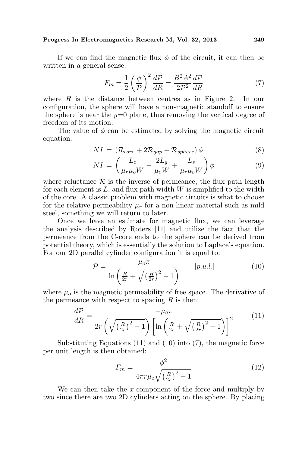### Progress In Electromagnetics Research M, Vol. 32, 2013 249

If we can find the magnetic flux  $\phi$  of the circuit, it can then be written in a general sense:

$$
F_m = \frac{1}{2} \left(\frac{\phi}{\mathcal{P}}\right)^2 \frac{d\mathcal{P}}{dR} = \frac{B^2 A^2}{2\mathcal{P}^2} \frac{d\mathcal{P}}{dR} \tag{7}
$$

where  $R$  is the distance between centres as in Figure 2. In our configuration, the sphere will have a non-magnetic standoff to ensure the sphere is near the  $y=0$  plane, thus removing the vertical degree of freedom of its motion.

The value of  $\phi$  can be estimated by solving the magnetic circuit equation:

$$
NI = (\mathcal{R}_{core} + 2\mathcal{R}_{gap} + \mathcal{R}_{sphere}) \phi
$$
\n<sup>(8)</sup>

$$
NI = \left(\frac{L_c}{\mu_r \mu_o W} + \frac{2L_g}{\mu_o W} + \frac{L_s}{\mu_r \mu_o W}\right)\phi
$$
\n(9)

where reluctance  $\mathcal R$  is the inverse of permeance, the flux path length for each element is  $L$ , and flux path width  $W$  is simplified to the width of the core. A classic problem with magnetic circuits is what to choose for the relative permeability  $\mu_r$  for a non-linear material such as mild steel, something we will return to later.

Once we have an estimate for magnetic flux, we can leverage the analysis described by Roters [11] and utilize the fact that the permeance from the C-core ends to the sphere can be derived from potential theory, which is essentially the solution to Laplace's equation. For our 2D parallel cylinder configuration it is equal to:

$$
\mathcal{P} = \frac{\mu_o \pi}{\ln\left(\frac{R}{2r} + \sqrt{\left(\frac{R}{2r}\right)^2 - 1}\right)} \qquad [p.u.l.]
$$
\n(10)

where  $\mu_0$  is the magnetic permeability of free space. The derivative of the permeance with respect to spacing  $R$  is then:

$$
\frac{d\mathcal{P}}{dR} = \frac{-\mu_o \pi}{2r \left(\sqrt{\left(\frac{R}{2r}\right)^2 - 1}\right) \left[\ln\left(\frac{R}{2r} + \sqrt{\left(\frac{R}{2r}\right)^2 - 1}\right)\right]^2}
$$
(11)

Substituting Equations (11) and (10) into (7), the magnetic force per unit length is then obtained:

$$
F_m = \frac{\phi^2}{4\pi r \mu_o \sqrt{\left(\frac{R}{2r}\right)^2 - 1}}\tag{12}
$$

We can then take the x-component of the force and multiply by two since there are two 2D cylinders acting on the sphere. By placing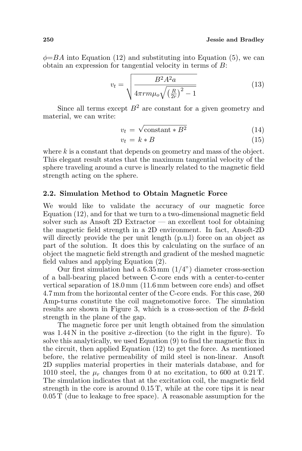$\phi = BA$  into Equation (12) and substituting into Equation (5), we can obtain an expression for tangential velocity in terms of B:

$$
v_t = \sqrt{\frac{B^2 A^2 a}{4\pi r m \mu_o \sqrt{\left(\frac{R}{2r}\right)^2 - 1}}}
$$
(13)

Since all terms except  $B^2$  are constant for a given geometry and material, we can write:

$$
v_t = \sqrt{\text{constant} * B^2} \tag{14}
$$

$$
v_t = k * B \tag{15}
$$

where  $k$  is a constant that depends on geometry and mass of the object. This elegant result states that the maximum tangential velocity of the sphere traveling around a curve is linearly related to the magnetic field strength acting on the sphere.

## 2.2. Simulation Method to Obtain Magnetic Force

We would like to validate the accuracy of our magnetic force Equation (12), and for that we turn to a two-dimensional magnetic field solver such as Ansoft 2D Extractor — an excellent tool for obtaining the magnetic field strength in a 2D environment. In fact, Ansoft-2D will directly provide the per unit length (p.u.l) force on an object as part of the solution. It does this by calculating on the surface of an object the magnetic field strength and gradient of the meshed magnetic field values and applying Equation (2).

Our first simulation had a  $6.35 \,\mathrm{mm}$   $(1/4)$  diameter cross-section of a ball-bearing placed between C-core ends with a center-to-center vertical separation of 18.0 mm (11.6 mm between core ends) and offset 4.7 mm from the horizontal center of the C-core ends. For this case, 260 Amp-turns constitute the coil magnetomotive force. The simulation results are shown in Figure 3, which is a cross-section of the B-field strength in the plane of the gap.

The magnetic force per unit length obtained from the simulation was  $1.44$  N in the positive x-direction (to the right in the figure). To solve this analytically, we used Equation (9) to find the magnetic flux in the circuit, then applied Equation (12) to get the force. As mentioned before, the relative permeability of mild steel is non-linear. Ansoft 2D supplies material properties in their materials database, and for 1010 steel, the  $\mu_r$  changes from 0 at no excitation, to 600 at 0.21 T. The simulation indicates that at the excitation coil, the magnetic field strength in the core is around 0.15 T, while at the core tips it is near 0.05 T (due to leakage to free space). A reasonable assumption for the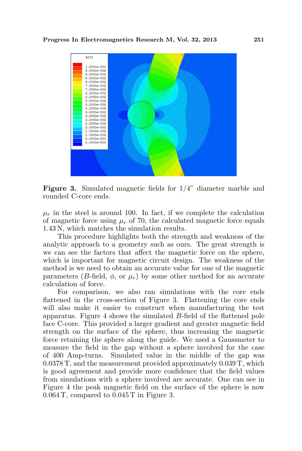

Figure 3. Simulated magnetic fields for 1/4" diameter marble and rounded C-core ends.

 $\mu_r$  in the steel is around 100. In fact, if we complete the calculation of magnetic force using  $\mu_r$  of 70, the calculated magnetic force equals 1.43 N, which matches the simulation results.

This procedure highlights both the strength and weakness of the analytic approach to a geometry such as ours. The great strength is we can see the factors that affect the magnetic force on the sphere, which is important for magnetic circuit design. The weakness of the method is we need to obtain an accurate value for one of the magnetic parameters (B-field,  $\phi$ , or  $\mu_r$ ) by some other method for an accurate calculation of force.

For comparison, we also ran simulations with the core ends flattened in the cross-section of Figure 3. Flattening the core ends will also make it easier to construct when manufacturing the test apparatus. Figure 4 shows the simulated B-field of the flattened pole face C-core. This provided a larger gradient and greater magnetic field strength on the surface of the sphere, thus increasing the magnetic force retaining the sphere along the guide. We used a Gaussmeter to measure the field in the gap without a sphere involved for the case of 400 Amp-turns. Simulated value in the middle of the gap was 0.0378 T, and the measurement provided approximately 0.039 T, which is good agreement and provide more confidence that the field values from simulations with a sphere involved are accurate. One can see in Figure 4 the peak magnetic field on the surface of the sphere is now 0.064 T, compared to 0.045 T in Figure 3.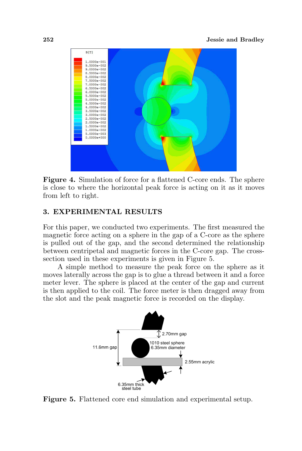

Figure 4. Simulation of force for a flattened C-core ends. The sphere is close to where the horizontal peak force is acting on it as it moves from left to right.

## 3. EXPERIMENTAL RESULTS

For this paper, we conducted two experiments. The first measured the magnetic force acting on a sphere in the gap of a C-core as the sphere is pulled out of the gap, and the second determined the relationship between centripetal and magnetic forces in the C-core gap. The crosssection used in these experiments is given in Figure 5.

A simple method to measure the peak force on the sphere as it moves laterally across the gap is to glue a thread between it and a force meter lever. The sphere is placed at the center of the gap and current is then applied to the coil. The force meter is then dragged away from the slot and the peak magnetic force is recorded on the display.



Figure 5. Flattened core end simulation and experimental setup.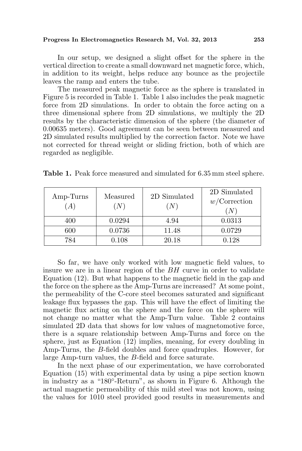### Progress In Electromagnetics Research M, Vol. 32, 2013 253

In our setup, we designed a slight offset for the sphere in the vertical direction to create a small downward net magnetic force, which, in addition to its weight, helps reduce any bounce as the projectile leaves the ramp and enters the tube.

The measured peak magnetic force as the sphere is translated in Figure 5 is recorded in Table 1. Table 1 also includes the peak magnetic force from 2D simulations. In order to obtain the force acting on a three dimensional sphere from 2D simulations, we multiply the 2D results by the characteristic dimension of the sphere (the diameter of 0.00635 meters). Good agreement can be seen between measured and 2D simulated results multiplied by the correction factor. Note we have not corrected for thread weight or sliding friction, both of which are regarded as negligible.

| Amp-Turns<br>$\boldsymbol{A}$ | Measured<br>(N) | 2D Simulated<br>$\left( N\right)$ | 2D Simulated<br>$w$ /Correction<br>'N |
|-------------------------------|-----------------|-----------------------------------|---------------------------------------|
| 400                           | 0.0294          | 4.94                              | 0.0313                                |
| 600                           | 0.0736          | 11.48                             | 0.0729                                |
| 784                           | 0.108           | 20.18                             | 0.128                                 |

Table 1. Peak force measured and simulated for 6.35 mm steel sphere.

So far, we have only worked with low magnetic field values, to insure we are in a linear region of the BH curve in order to validate Equation (12). But what happens to the magnetic field in the gap and the force on the sphere as the Amp-Turns are increased? At some point, the permeability of the C-core steel becomes saturated and significant leakage flux bypasses the gap. This will have the effect of limiting the magnetic flux acting on the sphere and the force on the sphere will not change no matter what the Amp-Turn value. Table 2 contains simulated 2D data that shows for low values of magnetomotive force, there is a square relationship between Amp-Turns and force on the sphere, just as Equation (12) implies, meaning, for every doubling in Amp-Turns, the B-field doubles and force quadruples. However, for large Amp-turn values, the B-field and force saturate.

In the next phase of our experimentation, we have corroborated Equation (15) with experimental data by using a pipe section known in industry as a "180◦ -Return", as shown in Figure 6. Although the actual magnetic permeability of this mild steel was not known, using the values for 1010 steel provided good results in measurements and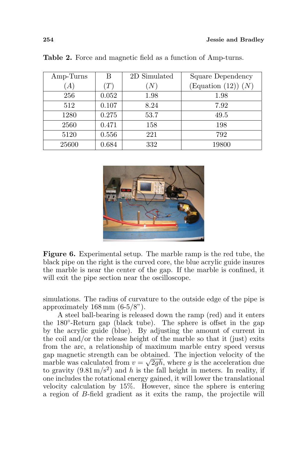| Amp-Turns | В              | 2D Simulated | Square Dependency   |
|-----------|----------------|--------------|---------------------|
| A)        | ${^{\prime}T}$ | 'N           | (Equation (12)) (N) |
| 256       | 0.052          | 1.98         | 1.98                |
| 512       | 0.107          | 8.24         | 7.92                |
| 1280      | 0.275          | 53.7         | 49.5                |
| 2560      | 0.471          | 158          | 198                 |
| 5120      | 0.556          | 221          | 792                 |
| 25600     | 0.684          | 332          | 19800               |

Table 2. Force and magnetic field as a function of Amp-turns.



Figure 6. Experimental setup. The marble ramp is the red tube, the black pipe on the right is the curved core, the blue acrylic guide insures the marble is near the center of the gap. If the marble is confined, it will exit the pipe section near the oscilloscope.

simulations. The radius of curvature to the outside edge of the pipe is approximately  $168 \,\mathrm{mm}$   $(6-5/8")$ .

A steel ball-bearing is released down the ramp (red) and it enters the 180°-Return gap (black tube). The sphere is offset in the gap by the acrylic guide (blue). By adjusting the amount of current in the coil and/or the release height of the marble so that it (just) exits from the arc, a relationship of maximum marble entry speed versus gap magnetic strength can be obtained. The injection velocity of the marble was calculated from  $v = \sqrt{2gh}$ , where g is the acceleration due to gravity  $(9.81 \,\mathrm{m/s^2})$  and h is the fall height in meters. In reality, if one includes the rotational energy gained, it will lower the translational velocity calculation by 15%. However, since the sphere is entering a region of B-field gradient as it exits the ramp, the projectile will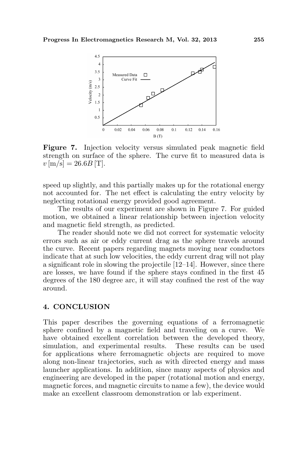

Figure 7. Injection velocity versus simulated peak magnetic field strength on surface of the sphere. The curve fit to measured data is  $v \,[\mathrm{m/s}] = 26.6B \,[\mathrm{T}].$ 

speed up slightly, and this partially makes up for the rotational energy not accounted for. The net effect is calculating the entry velocity by neglecting rotational energy provided good agreement.

The results of our experiment are shown in Figure 7. For guided motion, we obtained a linear relationship between injection velocity and magnetic field strength, as predicted.

The reader should note we did not correct for systematic velocity errors such as air or eddy current drag as the sphere travels around the curve. Recent papers regarding magnets moving near conductors indicate that at such low velocities, the eddy current drag will not play a significant role in slowing the projectile [12–14]. However, since there are losses, we have found if the sphere stays confined in the first 45 degrees of the 180 degree arc, it will stay confined the rest of the way around.

### 4. CONCLUSION

This paper describes the governing equations of a ferromagnetic sphere confined by a magnetic field and traveling on a curve. We have obtained excellent correlation between the developed theory, simulation, and experimental results. These results can be used for applications where ferromagnetic objects are required to move along non-linear trajectories, such as with directed energy and mass launcher applications. In addition, since many aspects of physics and engineering are developed in the paper (rotational motion and energy, magnetic forces, and magnetic circuits to name a few), the device would make an excellent classroom demonstration or lab experiment.